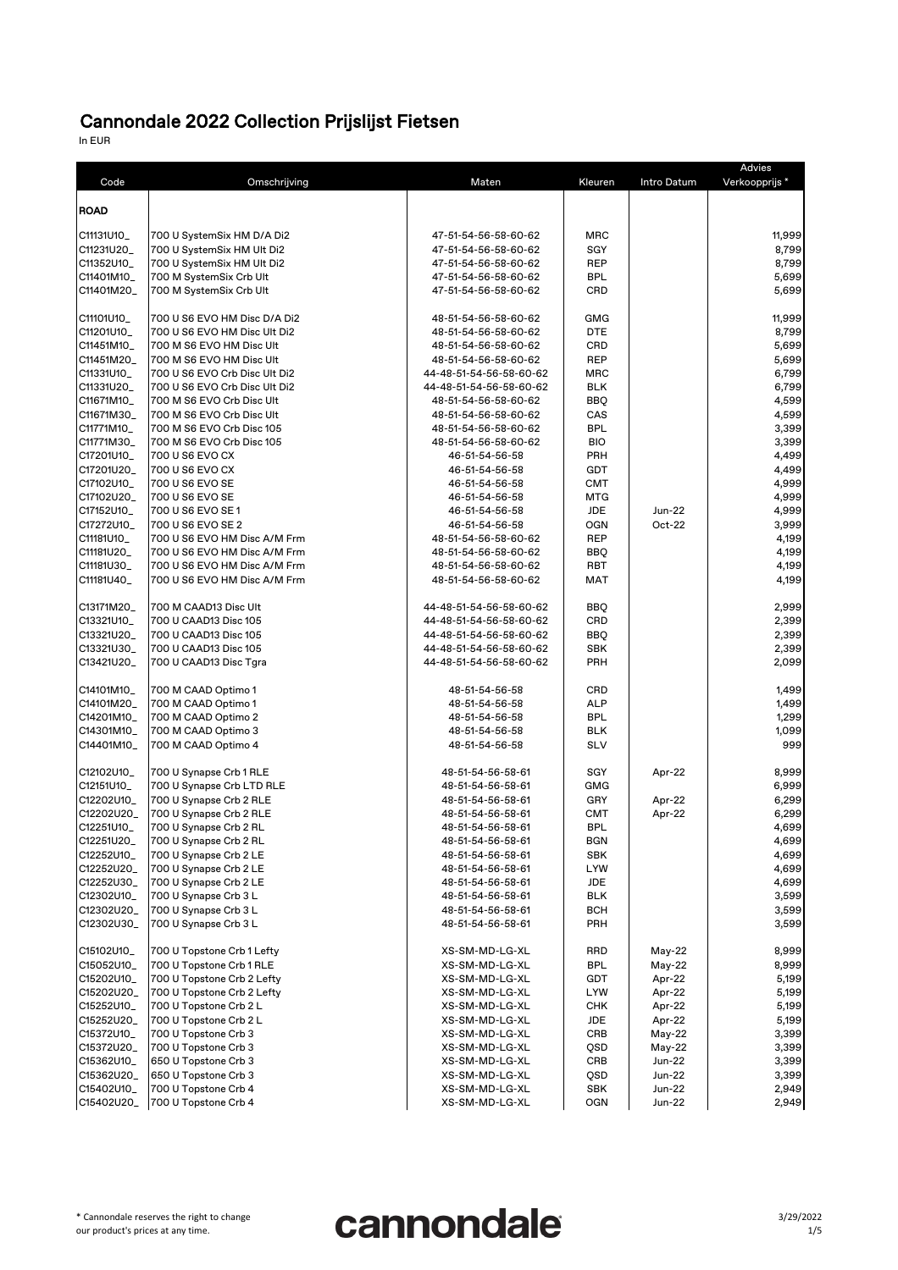In EUR

| Code        | Omschrijving                  | Maten                   | Kleuren    | Intro Datum | Advies<br>Verkoopprijs* |
|-------------|-------------------------------|-------------------------|------------|-------------|-------------------------|
| <b>ROAD</b> |                               |                         |            |             |                         |
| C11131U10_  | 700 U SystemSix HM D/A Di2    | 47-51-54-56-58-60-62    | <b>MRC</b> |             | 11,999                  |
| C11231U20_  | 700 U SystemSix HM Ult Di2    | 47-51-54-56-58-60-62    | <b>SGY</b> |             | 8,799                   |
| C11352U10_  | 700 U SystemSix HM Ult Di2    | 47-51-54-56-58-60-62    | <b>REP</b> |             | 8,799                   |
| C11401M10_  | 700 M SystemSix Crb Ult       | 47-51-54-56-58-60-62    | <b>BPL</b> |             | 5,699                   |
| C11401M20_  | 700 M SystemSix Crb Ult       | 47-51-54-56-58-60-62    | <b>CRD</b> |             | 5,699                   |
| C11101U10_  | 700 U S6 EVO HM Disc D/A Di2  | 48-51-54-56-58-60-62    | <b>GMG</b> |             | 11,999                  |
| C11201U10_  | 700 U S6 EVO HM Disc Ult Di2  | 48-51-54-56-58-60-62    | <b>DTE</b> |             | 8,799                   |
| C11451M10_  | 700 M S6 EVO HM Disc Ult      | 48-51-54-56-58-60-62    | <b>CRD</b> |             | 5,699                   |
| C11451M20_  | 700 M S6 EVO HM Disc Ult      | 48-51-54-56-58-60-62    | <b>REP</b> |             | 5,699                   |
| C11331U10_  | 700 U S6 EVO Crb Disc Ult Di2 | 44-48-51-54-56-58-60-62 | <b>MRC</b> |             | 6,799                   |
| C11331U20_  | 700 U S6 EVO Crb Disc Ult Di2 | 44-48-51-54-56-58-60-62 | <b>BLK</b> |             | 6,799                   |
| C11671M10_  | 700 M S6 EVO Crb Disc Ult     | 48-51-54-56-58-60-62    | <b>BBQ</b> |             | 4,599                   |
| C11671M30_  | 700 M S6 EVO Crb Disc Ult     | 48-51-54-56-58-60-62    | CAS        |             | 4,599                   |
| C11771M10   | 700 M S6 EVO Crb Disc 105     | 48-51-54-56-58-60-62    | <b>BPL</b> |             | 3,399                   |
| C11771M30_  | 700 M S6 EVO Crb Disc 105     | 48-51-54-56-58-60-62    | <b>BIO</b> |             | 3,399                   |
| C17201U10_  | 700 U S6 EVO CX               | 46-51-54-56-58          | <b>PRH</b> |             | 4,499                   |
| C17201U20_  | 700 U S6 EVO CX               | 46-51-54-56-58          | <b>GDT</b> |             | 4,499                   |
| C17102U10_  | 700 U S6 EVO SE               | 46-51-54-56-58          | <b>CMT</b> |             | 4,999                   |
| C17102U20_  | 700 U S6 EVO SE               | 46-51-54-56-58          | <b>MTG</b> |             | 4,999                   |
| C17152U10_  | 700 U S6 EVO SE 1             | 46-51-54-56-58          | <b>JDE</b> | Jun-22      | 4,999                   |
| C17272U10_  | 700 U S6 EVO SE 2             | 46-51-54-56-58          | <b>OGN</b> | Oct-22      | 3,999                   |
| C11181U10_  | 700 U S6 EVO HM Disc A/M Frm  | 48-51-54-56-58-60-62    | <b>REP</b> |             | 4,199                   |
| C11181U20_  | 700 U S6 EVO HM Disc A/M Frm  | 48-51-54-56-58-60-62    | <b>BBQ</b> |             | 4,199                   |
| C11181U30_  | 700 U S6 EVO HM Disc A/M Frm  | 48-51-54-56-58-60-62    | <b>RBT</b> |             | 4,199                   |
| C11181U40_  | 700 U S6 EVO HM Disc A/M Frm  | 48-51-54-56-58-60-62    | <b>MAT</b> |             | 4,199                   |
|             |                               |                         |            |             |                         |
| C13171M20_  | 700 M CAAD13 Disc Ult         | 44-48-51-54-56-58-60-62 | <b>BBQ</b> |             | 2,999                   |
| C13321U10_  | 700 U CAAD13 Disc 105         | 44-48-51-54-56-58-60-62 | <b>CRD</b> |             | 2,399                   |
| C13321U20_  | 700 U CAAD13 Disc 105         | 44-48-51-54-56-58-60-62 | <b>BBQ</b> |             | 2,399                   |
| C13321U30_  | 700 U CAAD13 Disc 105         | 44-48-51-54-56-58-60-62 | <b>SBK</b> |             | 2,399                   |
| C13421U20_  | 700 U CAAD13 Disc Tgra        | 44-48-51-54-56-58-60-62 | <b>PRH</b> |             | 2,099                   |
| C14101M10_  | 700 M CAAD Optimo 1           | 48-51-54-56-58          | <b>CRD</b> |             | 1,499                   |
| C14101M20_  | 700 M CAAD Optimo 1           | 48-51-54-56-58          | <b>ALP</b> |             | 1,499                   |
| C14201M10_  | 700 M CAAD Optimo 2           | 48-51-54-56-58          | <b>BPL</b> |             | 1,299                   |
| C14301M10_  | 700 M CAAD Optimo 3           | 48-51-54-56-58          | <b>BLK</b> |             | 1,099                   |
| C14401M10_  | 700 M CAAD Optimo 4           | 48-51-54-56-58          | <b>SLV</b> |             | 999                     |
| C12102U10_  | 700 U Synapse Crb 1 RLE       | 48-51-54-56-58-61       | <b>SGY</b> | Apr-22      | 8,999                   |
| C12151U10_  | 700 U Synapse Crb LTD RLE     | 48-51-54-56-58-61       | <b>GMG</b> |             | 6,999                   |
| C12202U10_  | 700 U Synapse Crb 2 RLE       | 48-51-54-56-58-61       | <b>GRY</b> | Apr-22      | 6,299                   |
| C12202U20_  | 700 U Synapse Crb 2 RLE       | 48-51-54-56-58-61       | <b>CMT</b> | Apr-22      | 6,299                   |
| C12251U10_  | 700 U Synapse Crb 2 RL        | 48-51-54-56-58-61       | <b>BPL</b> |             | 4,699                   |
| C12251U20_  | 700 U Synapse Crb 2 RL        | 48-51-54-56-58-61       | <b>BGN</b> |             | 4,699                   |
| C12252U10_  | 700 U Synapse Crb 2 LE        | 48-51-54-56-58-61       | <b>SBK</b> |             | 4,699                   |
| C12252U20_  | 700 U Synapse Crb 2 LE        | 48-51-54-56-58-61       | <b>LYW</b> |             | 4,699                   |
| C12252U30_  | 700 U Synapse Crb 2 LE        | 48-51-54-56-58-61       | <b>JDE</b> |             | 4,699                   |
| C12302U10_  | 700 U Synapse Crb 3 L         | 48-51-54-56-58-61       | <b>BLK</b> |             | 3,599                   |
| C12302U20_  | 700 U Synapse Crb 3 L         | 48-51-54-56-58-61       | <b>BCH</b> |             | 3,599                   |
| C12302U30_  | 700 U Synapse Crb 3 L         | 48-51-54-56-58-61       | <b>PRH</b> |             | 3,599                   |
| C15102U10_  | 700 U Topstone Crb 1 Lefty    | XS-SM-MD-LG-XL          | <b>RRD</b> | $May-22$    | 8,999                   |
| C15052U10_  | 700 U Topstone Crb 1 RLE      | XS-SM-MD-LG-XL          | <b>BPL</b> | May-22      | 8,999                   |
| C15202U10_  | 700 U Topstone Crb 2 Lefty    | XS-SM-MD-LG-XL          | <b>GDT</b> | Apr-22      | 5,199                   |
| C15202U20_  | 700 U Topstone Crb 2 Lefty    | XS-SM-MD-LG-XL          | <b>LYW</b> | Apr-22      | 5,199                   |
| C15252U10_  | 700 U Topstone Crb 2 L        | XS-SM-MD-LG-XL          | <b>CHK</b> | Apr-22      | 5,199                   |
| C15252U20_  | 700 U Topstone Crb 2 L        | XS-SM-MD-LG-XL          | <b>JDE</b> | Apr-22      | 5,199                   |
| C15372U10_  | 700 U Topstone Crb 3          | XS-SM-MD-LG-XL          | <b>CRB</b> | $May-22$    | 3,399                   |
| C15372U20_  | 700 U Topstone Crb 3          | XS-SM-MD-LG-XL          | QSD        | May-22      | 3,399                   |
| C15362U10_  | 650 U Topstone Crb 3          | XS-SM-MD-LG-XL          | <b>CRB</b> | $Jun-22$    |                         |
|             |                               | XS-SM-MD-LG-XL          |            |             | 3,399                   |
| C15362U20_  | 650 U Topstone Crb 3          |                         | QSD        | Jun-22      | 3,399                   |
| C15402U10_  | 700 U Topstone Crb 4          | XS-SM-MD-LG-XL          | <b>SBK</b> | $Jun-22$    | 2,949                   |
| C15402U20_  | 700 U Topstone Crb 4          | XS-SM-MD-LG-XL          | <b>OGN</b> | Jun-22      | 2,949                   |

\* Cannondale reserves the right to change our product's prices at any time.

# cannondale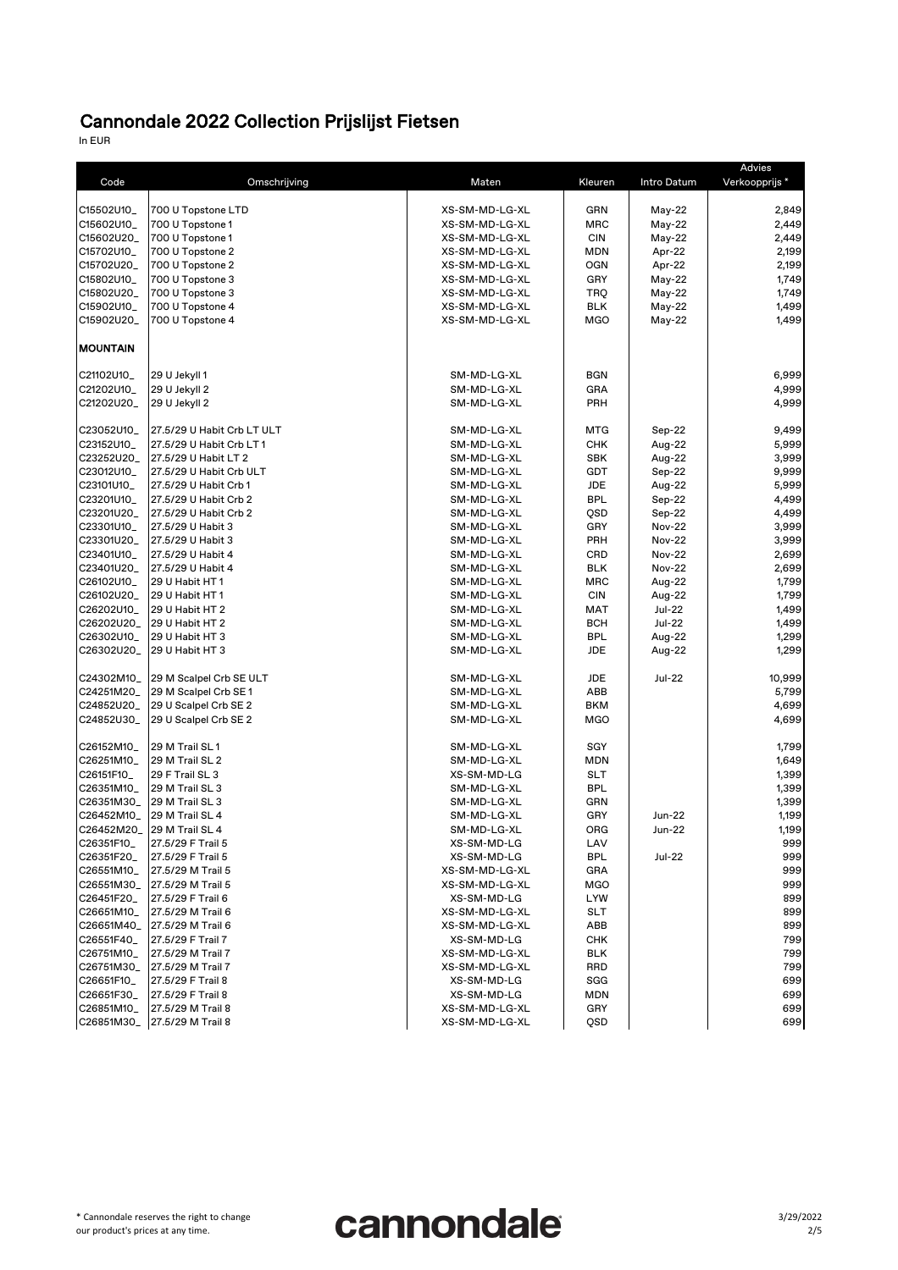In EUR

| Code            | Omschrijving                       | Maten          | Kleuren    | Intro Datum   | Advies<br>Verkoopprijs* |
|-----------------|------------------------------------|----------------|------------|---------------|-------------------------|
| C15502U10_      | 700 U Topstone LTD                 | XS-SM-MD-LG-XL | <b>GRN</b> | May-22        | 2,849                   |
| C15602U10_      | 700 U Topstone 1                   | XS-SM-MD-LG-XL | <b>MRC</b> | May-22        | 2,449                   |
| C15602U20_      | 700 U Topstone 1                   | XS-SM-MD-LG-XL | <b>CIN</b> | $May-22$      | 2,449                   |
| C15702U10_      | 700 U Topstone 2                   | XS-SM-MD-LG-XL | <b>MDN</b> | Apr-22        | 2,199                   |
| C15702U20_      | 700 U Topstone 2                   | XS-SM-MD-LG-XL | <b>OGN</b> | Apr-22        | 2,199                   |
| C15802U10_      | 700 U Topstone 3                   | XS-SM-MD-LG-XL | <b>GRY</b> | $May-22$      | 1,749                   |
| C15802U20_      | 700 U Topstone 3                   | XS-SM-MD-LG-XL | <b>TRQ</b> | $May-22$      | 1,749                   |
| C15902U10_      | 700 U Topstone 4                   | XS-SM-MD-LG-XL | <b>BLK</b> | $May-22$      | 1,499                   |
| C15902U20_      | 700 U Topstone 4                   | XS-SM-MD-LG-XL | <b>MGO</b> | $May-22$      | 1,499                   |
| <b>MOUNTAIN</b> |                                    |                |            |               |                         |
| C21102U10_      | 29 U Jekyll 1                      | SM-MD-LG-XL    | <b>BGN</b> |               | 6,999                   |
| C21202U10_      | 29 U Jekyll 2                      | SM-MD-LG-XL    | <b>GRA</b> |               | 4,999                   |
| C21202U20_      | 29 U Jekyll 2                      | SM-MD-LG-XL    | <b>PRH</b> |               | 4,999                   |
| C23052U10_      | 27.5/29 U Habit Crb LT ULT         | SM-MD-LG-XL    | <b>MTG</b> | Sep-22        | 9,499                   |
| C23152U10_      | 27.5/29 U Habit Crb LT 1           | SM-MD-LG-XL    | <b>CHK</b> | Aug-22        | 5,999                   |
| C23252U20_      | 27.5/29 U Habit LT 2               | SM-MD-LG-XL    | <b>SBK</b> | Aug-22        | 3,999                   |
| C23012U10_      | 27.5/29 U Habit Crb ULT            | SM-MD-LG-XL    | <b>GDT</b> | Sep-22        | 9,999                   |
| C23101U10_      | 27.5/29 U Habit Crb 1              | SM-MD-LG-XL    | <b>JDE</b> | Aug-22        | 5,999                   |
| C23201U10_      | 27.5/29 U Habit Crb 2              | SM-MD-LG-XL    | <b>BPL</b> | Sep-22        | 4,499                   |
| C23201U20_      | 27.5/29 U Habit Crb 2              | SM-MD-LG-XL    | QSD        | Sep-22        | 4,499                   |
| C23301U10_      | 27.5/29 U Habit 3                  | SM-MD-LG-XL    | <b>GRY</b> | <b>Nov-22</b> | 3,999                   |
| C23301U20_      | 27.5/29 U Habit 3                  | SM-MD-LG-XL    | <b>PRH</b> | <b>Nov-22</b> | 3,999                   |
| C23401U10_      | 27.5/29 U Habit 4                  | SM-MD-LG-XL    | <b>CRD</b> | <b>Nov-22</b> | 2,699                   |
| C23401U20_      | 27.5/29 U Habit 4                  | SM-MD-LG-XL    | <b>BLK</b> | <b>Nov-22</b> | 2,699                   |
| C26102U10_      | 29 U Habit HT1                     | SM-MD-LG-XL    | <b>MRC</b> | Aug-22        | 1,799                   |
| C26102U20_      | 29 U Habit HT1                     | SM-MD-LG-XL    | <b>CIN</b> | Aug-22        | 1,799                   |
|                 | C26202U10_ 29 U Habit HT 2         | SM-MD-LG-XL    | <b>MAT</b> | <b>Jul-22</b> | 1,499                   |
| C26202U20_      | 29 U Habit HT 2                    | SM-MD-LG-XL    | <b>BCH</b> | <b>Jul-22</b> | 1,499                   |
|                 | C26302U10_ 29 U Habit HT 3         | SM-MD-LG-XL    | <b>BPL</b> | Aug-22        | 1,299                   |
|                 | C26302U20_ 29 U Habit HT 3         | SM-MD-LG-XL    | <b>JDE</b> | Aug-22        | 1,299                   |
|                 | C24302M10_ 29 M Scalpel Crb SE ULT | SM-MD-LG-XL    | <b>JDE</b> | <b>Jul-22</b> | 10,999                  |
|                 | C24251M20_ 29 M Scalpel Crb SE1    | SM-MD-LG-XL    | <b>ABB</b> |               | 5,799                   |
|                 | C24852U20_ 29 U Scalpel Crb SE 2   | SM-MD-LG-XL    | <b>BKM</b> |               | 4,699                   |
|                 | C24852U30_ 29 U Scalpel Crb SE 2   | SM-MD-LG-XL    | <b>MGO</b> |               | 4,699                   |
| C26152M10_      | 29 M Trail SL1                     | SM-MD-LG-XL    | <b>SGY</b> |               | 1,799                   |
| C26251M10_      | 29 M Trail SL 2                    | SM-MD-LG-XL    | <b>MDN</b> |               | 1,649                   |
| C26151F10_      | 29 F Trail SL 3                    | XS-SM-MD-LG    | <b>SLT</b> |               | 1,399                   |
| C26351M10_      | 29 M Trail SL 3                    | SM-MD-LG-XL    | <b>BPL</b> |               | 1,399                   |
|                 | C26351M30_  29 M Trail SL 3        | SM-MD-LG-XL    | <b>GRN</b> |               | 1,399                   |
|                 | C26452M10_ 29 M Trail SL 4         | SM-MD-LG-XL    | <b>GRY</b> | <b>Jun-22</b> | 1,199                   |
|                 | C26452M20_ 29 M Trail SL 4         | SM-MD-LG-XL    | <b>ORG</b> | <b>Jun-22</b> | 1,199                   |
| C26351F10_      | 27.5/29 F Trail 5                  | XS-SM-MD-LG    | LAV        |               | 999                     |
|                 | C26351F20_ 27.5/29 F Trail 5       | XS-SM-MD-LG    | <b>BPL</b> | <b>Jul-22</b> | 999                     |
|                 | C26551M10_ 27.5/29 M Trail 5       | XS-SM-MD-LG-XL | <b>GRA</b> |               | 999                     |
|                 | C26551M30_ 27.5/29 M Trail 5       | XS-SM-MD-LG-XL | <b>MGO</b> |               | 999                     |
| C26451F20_      | 27.5/29 F Trail 6                  | XS-SM-MD-LG    | <b>LYW</b> |               | 899                     |
| C26651M10_      | 27.5/29 M Trail 6                  | XS-SM-MD-LG-XL | <b>SLT</b> |               | 899                     |
|                 | C26651M40_ 27.5/29 M Trail 6       | XS-SM-MD-LG-XL | <b>ABB</b> |               | 899                     |
| C26551F40       | 27.5/29 F Trail 7                  | XS-SM-MD-LG    | <b>CHK</b> |               | 799                     |
| C26751M10_      | 27.5/29 M Trail 7                  | XS-SM-MD-LG-XL | <b>BLK</b> |               | 799                     |
|                 | C26751M30_ 27.5/29 M Trail 7       | XS-SM-MD-LG-XL | <b>RRD</b> |               | 799                     |
| C26651F10       | 27.5/29 F Trail 8                  | XS-SM-MD-LG    | SGG        |               | 699                     |
| C26651F30_      | 27.5/29 F Trail 8                  | XS-SM-MD-LG    | <b>MDN</b> |               | 699                     |
| C26851M10_      | 27.5/29 M Trail 8                  | XS-SM-MD-LG-XL | <b>GRY</b> |               | 699                     |
|                 | C26851M30_ 27.5/29 M Trail 8       | XS-SM-MD-LG-XL | QSD        |               | 699                     |

\* Cannondale reserves the right to change our product's prices at any time.

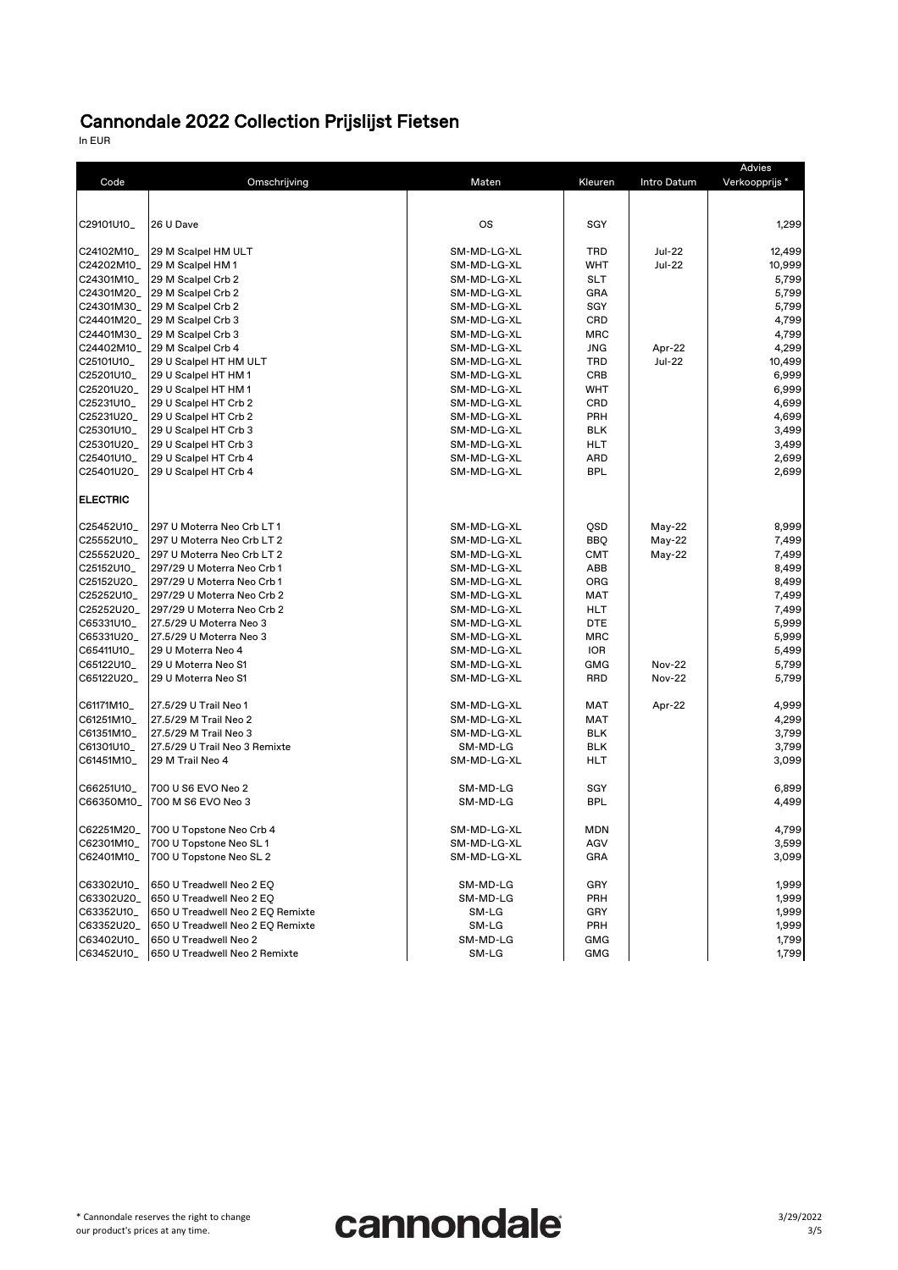In EUR

| Advies          |                                  |             |            |               |               |
|-----------------|----------------------------------|-------------|------------|---------------|---------------|
| Code            | Omschrijving                     | Maten       | Kleuren    | Intro Datum   | Verkoopprijs* |
|                 |                                  |             |            |               |               |
|                 |                                  |             |            |               |               |
| C29101U10_      | 26 U Dave                        | <b>OS</b>   | <b>SGY</b> |               | 1,299         |
|                 |                                  |             |            |               |               |
| C24102M10_      | 29 M Scalpel HM ULT              | SM-MD-LG-XL | <b>TRD</b> | <b>Jul-22</b> | 12,499        |
| C24202M10_      | 29 M Scalpel HM 1                | SM-MD-LG-XL | <b>WHT</b> | <b>Jul-22</b> | 10,999        |
| C24301M10       | 29 M Scalpel Crb 2               | SM-MD-LG-XL | <b>SLT</b> |               | 5,799         |
| C24301M20_      | 29 M Scalpel Crb 2               | SM-MD-LG-XL | <b>GRA</b> |               | 5,799         |
| C24301M30_      | 29 M Scalpel Crb 2               | SM-MD-LG-XL | <b>SGY</b> |               | 5,799         |
| C24401M20_      | 29 M Scalpel Crb 3               | SM-MD-LG-XL | <b>CRD</b> |               | 4,799         |
| C24401M30_      | 29 M Scalpel Crb 3               | SM-MD-LG-XL | <b>MRC</b> |               | 4,799         |
| C24402M10_      | 29 M Scalpel Crb 4               | SM-MD-LG-XL | <b>JNG</b> | Apr-22        | 4,299         |
| C25101U10_      | 29 U Scalpel HT HM ULT           | SM-MD-LG-XL | <b>TRD</b> | <b>Jul-22</b> | 10,499        |
| C25201U10_      | 29 U Scalpel HT HM 1             | SM-MD-LG-XL | <b>CRB</b> |               | 6,999         |
| C25201U20_      | 29 U Scalpel HT HM 1             | SM-MD-LG-XL | <b>WHT</b> |               | 6,999         |
| C25231U10_      | 29 U Scalpel HT Crb 2            | SM-MD-LG-XL | <b>CRD</b> |               | 4,699         |
| C25231U20_      | 29 U Scalpel HT Crb 2            | SM-MD-LG-XL | <b>PRH</b> |               | 4,699         |
| C25301U10_      | 29 U Scalpel HT Crb 3            | SM-MD-LG-XL | <b>BLK</b> |               | 3,499         |
| C25301U20_      | 29 U Scalpel HT Crb 3            | SM-MD-LG-XL | <b>HLT</b> |               | 3,499         |
| C25401U10_      | 29 U Scalpel HT Crb 4            | SM-MD-LG-XL | <b>ARD</b> |               | 2,699         |
| C25401U20_      | 29 U Scalpel HT Crb 4            | SM-MD-LG-XL | <b>BPL</b> |               | 2,699         |
|                 |                                  |             |            |               |               |
| <b>ELECTRIC</b> |                                  |             |            |               |               |
|                 | 297 U Moterra Neo Crb LT 1       |             |            |               |               |
| C25452U10_      |                                  | SM-MD-LG-XL | QSD        | May-22        | 8,999         |
| C25552U10_      | 297 U Moterra Neo Crb LT 2       | SM-MD-LG-XL | <b>BBQ</b> | May-22        | 7,499         |
| C25552U20_      | 297 U Moterra Neo Crb LT 2       | SM-MD-LG-XL | <b>CMT</b> | May-22        | 7,499         |
| C25152U10_      | 297/29 U Moterra Neo Crb 1       | SM-MD-LG-XL | <b>ABB</b> |               | 8,499         |
| C25152U20_      | 297/29 U Moterra Neo Crb 1       | SM-MD-LG-XL | <b>ORG</b> |               | 8,499         |
| C25252U10_      | 297/29 U Moterra Neo Crb 2       | SM-MD-LG-XL | <b>MAT</b> |               | 7,499         |
| C25252U20_      | 297/29 U Moterra Neo Crb 2       | SM-MD-LG-XL | <b>HLT</b> |               | 7,499         |
| C65331U10_      | 27.5/29 U Moterra Neo 3          | SM-MD-LG-XL | <b>DTE</b> |               | 5,999         |
| C65331U20_      | 27.5/29 U Moterra Neo 3          | SM-MD-LG-XL | <b>MRC</b> |               | 5,999         |
| C65411U10_      | 29 U Moterra Neo 4               | SM-MD-LG-XL | <b>IOR</b> |               | 5,499         |
| C65122U10_      | 29 U Moterra Neo S1              | SM-MD-LG-XL | <b>GMG</b> | <b>Nov-22</b> | 5,799         |
| C65122U20_      | 29 U Moterra Neo S1              | SM-MD-LG-XL | <b>RRD</b> | <b>Nov-22</b> | 5,799         |
| C61171M10_      | 27.5/29 U Trail Neo 1            | SM-MD-LG-XL | <b>MAT</b> | Apr-22        | 4,999         |
| C61251M10_      | 27.5/29 M Trail Neo 2            | SM-MD-LG-XL | <b>MAT</b> |               | 4,299         |
| C61351M10_      | 27.5/29 M Trail Neo 3            | SM-MD-LG-XL | <b>BLK</b> |               | 3,799         |
| C61301U10_      | 27.5/29 U Trail Neo 3 Remixte    | SM-MD-LG    | <b>BLK</b> |               | 3,799         |
| C61451M10_      | 29 M Trail Neo 4                 | SM-MD-LG-XL | <b>HLT</b> |               | 3,099         |
|                 |                                  |             |            |               |               |
| C66251U10_      | 700 U S6 EVO Neo 2               | SM-MD-LG    | <b>SGY</b> |               | 6,899         |
| C66350M10_      | 700 M S6 EVO Neo 3               | SM-MD-LG    | <b>BPL</b> |               | 4,499         |
|                 |                                  |             |            |               |               |
| C62251M20_      | 700 U Topstone Neo Crb 4         | SM-MD-LG-XL | <b>MDN</b> |               | 4,799         |
| C62301M10_      | 700 U Topstone Neo SL1           | SM-MD-LG-XL | AGV        |               | 3,599         |
| C62401M10_      | 700 U Topstone Neo SL 2          | SM-MD-LG-XL | <b>GRA</b> |               | 3,099         |
|                 |                                  |             |            |               |               |
| C63302U10_      | 650 U Treadwell Neo 2 EQ         | SM-MD-LG    | <b>GRY</b> |               | 1,999         |
| C63302U20_      | 650 U Treadwell Neo 2 EQ         | SM-MD-LG    | <b>PRH</b> |               | 1,999         |
| C63352U10_      | 650 U Treadwell Neo 2 EQ Remixte | SM-LG       | <b>GRY</b> |               | 1,999         |
| C63352U20_      | 650 U Treadwell Neo 2 EQ Remixte | SM-LG       | <b>PRH</b> |               | 1,999         |
| C63402U10_      | 650 U Treadwell Neo 2            | SM-MD-LG    | <b>GMG</b> |               | 1,799         |
| C63452U10_      | 650 U Treadwell Neo 2 Remixte    | SM-LG       | <b>GMG</b> |               | 1,799         |

\* Cannondale reserves the right to change our product's prices at any time.

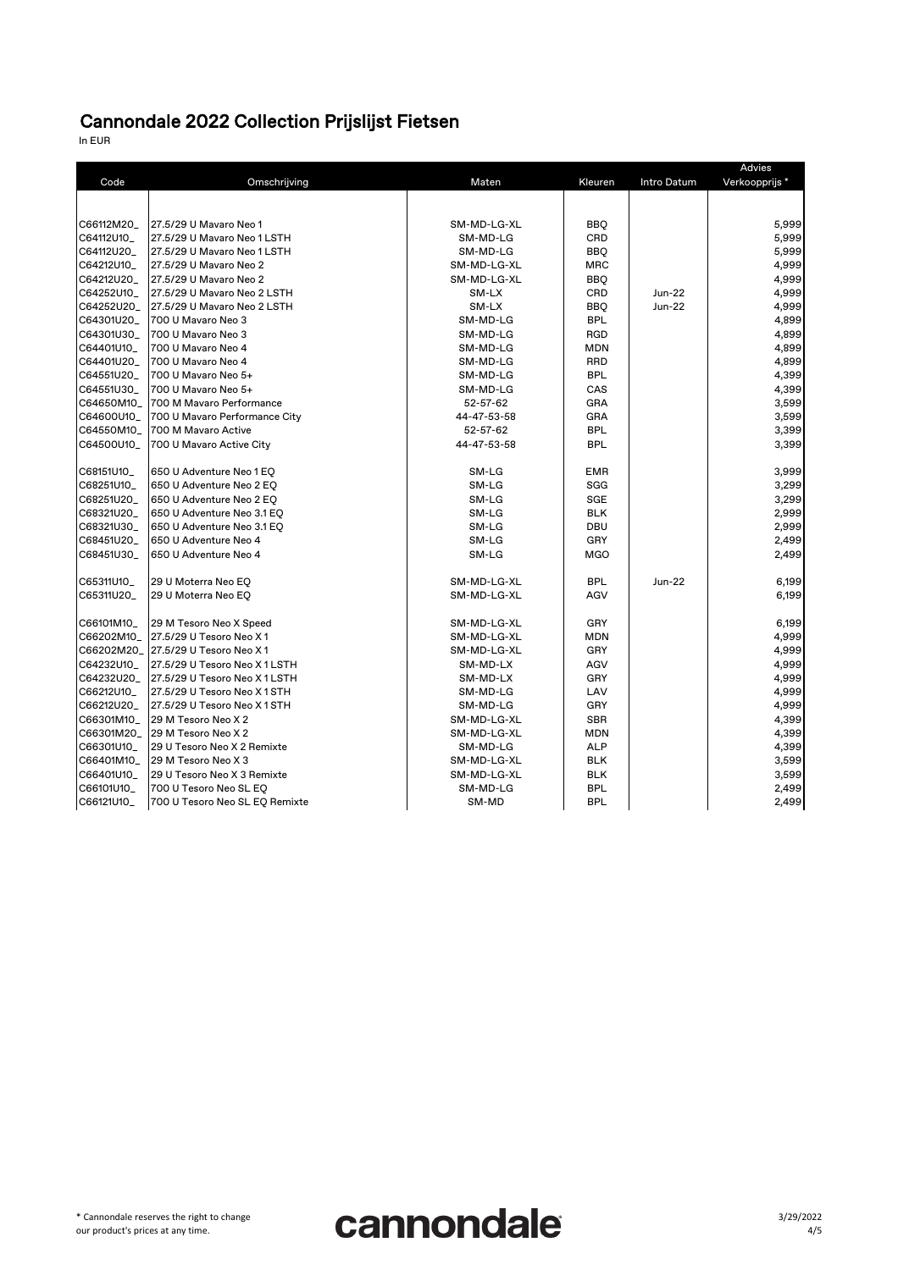In EUR

|            |                                    |             |            |               | <b>Advies</b> |
|------------|------------------------------------|-------------|------------|---------------|---------------|
| Code       | Omschrijving                       | Maten       | Kleuren    | Intro Datum   | Verkoopprijs* |
|            |                                    |             |            |               |               |
| C66112M20_ | 27.5/29 U Mayaro Neo 1             | SM-MD-LG-XL | <b>BBQ</b> |               | 5,999         |
| C64112U10_ | 27.5/29 U Mavaro Neo 1 LSTH        | SM-MD-LG    | <b>CRD</b> |               | 5,999         |
| C64112U20_ | 27.5/29 U Mavaro Neo 1 LSTH        | SM-MD-LG    | <b>BBQ</b> |               | 5,999         |
| C64212U10_ | 27.5/29 U Mavaro Neo 2             | SM-MD-LG-XL | <b>MRC</b> |               | 4,999         |
| C64212U20_ | 27.5/29 U Mavaro Neo 2             | SM-MD-LG-XL | <b>BBQ</b> |               | 4,999         |
| C64252U10_ | 27.5/29 U Mavaro Neo 2 LSTH        | SM-LX       | <b>CRD</b> | <b>Jun-22</b> | 4,999         |
| C64252U20_ | 27.5/29 U Mavaro Neo 2 LSTH        | SM-LX       | <b>BBQ</b> | <b>Jun-22</b> | 4,999         |
| C64301U20_ | 700 U Mavaro Neo 3                 | SM-MD-LG    | <b>BPL</b> |               | 4,899         |
| C64301U30_ | 700 U Mavaro Neo 3                 | SM-MD-LG    | <b>RGD</b> |               | 4,899         |
| C64401U10_ | 700 U Mavaro Neo 4                 | SM-MD-LG    | <b>MDN</b> |               | 4,899         |
| C64401U20_ | 1700 U Mavaro Neo 4                | SM-MD-LG    | <b>RRD</b> |               | 4,899         |
| C64551U20_ | 700 U Mavaro Neo 5+                | SM-MD-LG    | <b>BPL</b> |               | 4,399         |
| C64551U30_ | 700 U Mavaro Neo 5+                | SM-MD-LG    | CAS        |               | 4,399         |
| C64650M10_ | 700 M Mavaro Performance           | 52-57-62    | <b>GRA</b> |               | 3,599         |
| C64600U10_ | 700 U Mavaro Performance City      | 44-47-53-58 | <b>GRA</b> |               | 3,599         |
| C64550M10_ | 700 M Mavaro Active                | 52-57-62    | <b>BPL</b> |               | 3,399         |
| C64500U10_ | 700 U Mavaro Active City           | 44-47-53-58 | <b>BPL</b> |               | 3,399         |
| C68151U10_ | 650 U Adventure Neo 1 EQ           | SM-LG       | <b>EMR</b> |               | 3,999         |
| C68251U10_ | 650 U Adventure Neo 2 EQ           | SM-LG       | <b>SGG</b> |               | 3,299         |
| C68251U20_ | 650 U Adventure Neo 2 EQ           | SM-LG       | <b>SGE</b> |               | 3,299         |
| C68321U20_ | 650 U Adventure Neo 3.1 EQ         | SM-LG       | <b>BLK</b> |               | 2,999         |
| C68321U30_ | 650 U Adventure Neo 3.1 EQ         | SM-LG       | <b>DBU</b> |               | 2,999         |
| C68451U20_ | 650 U Adventure Neo 4              | SM-LG       | <b>GRY</b> |               | 2,499         |
| C68451U30_ | 650 U Adventure Neo 4              | SM-LG       | <b>MGO</b> |               | 2,499         |
| C65311U10_ | 29 U Moterra Neo EQ                | SM-MD-LG-XL | <b>BPL</b> | <b>Jun-22</b> | 6,199         |
| C65311U20_ | 29 U Moterra Neo EQ                | SM-MD-LG-XL | AGV        |               | 6,199         |
| C66101M10_ | 29 M Tesoro Neo X Speed            | SM-MD-LG-XL | <b>GRY</b> |               | 6,199         |
| C66202M10  | 27.5/29 U Tesoro Neo X1            | SM-MD-LG-XL | <b>MDN</b> |               | 4,999         |
|            | C66202M20_ 27.5/29 U Tesoro Neo X1 | SM-MD-LG-XL | <b>GRY</b> |               | 4,999         |
| C64232U10_ | 27.5/29 U Tesoro Neo X 1 LSTH      | SM-MD-LX    | <b>AGV</b> |               | 4,999         |
| C64232U20_ | 27.5/29 U Tesoro Neo X1LSTH        | SM-MD-LX    | <b>GRY</b> |               | 4,999         |
| C66212U10_ | 27.5/29 U Tesoro Neo X 1 STH       | SM-MD-LG    | LAV        |               | 4,999         |
| C66212U20_ | 27.5/29 U Tesoro Neo X1STH         | SM-MD-LG    | <b>GRY</b> |               | 4,999         |
| C66301M10_ | 29 M Tesoro Neo X 2                | SM-MD-LG-XL | <b>SBR</b> |               | 4,399         |
| C66301M20_ | 29 M Tesoro Neo X 2                | SM-MD-LG-XL | <b>MDN</b> |               | 4,399         |
| C66301U10_ | 29 U Tesoro Neo X 2 Remixte        | SM-MD-LG    | <b>ALP</b> |               | 4,399         |
| C66401M10_ | 29 M Tesoro Neo X 3                | SM-MD-LG-XL | <b>BLK</b> |               | 3,599         |
| C66401U10_ | 29 U Tesoro Neo X 3 Remixte        | SM-MD-LG-XL | <b>BLK</b> |               | 3,599         |
| C66101U10_ | 700 U Tesoro Neo SL EQ             | SM-MD-LG    | <b>BPL</b> |               | 2,499         |
| C66121U10_ | 700 U Tesoro Neo SL EQ Remixte     | SM-MD       | <b>BPL</b> |               | 2,499         |

\* Cannondale reserves the right to change our product's prices at any time.